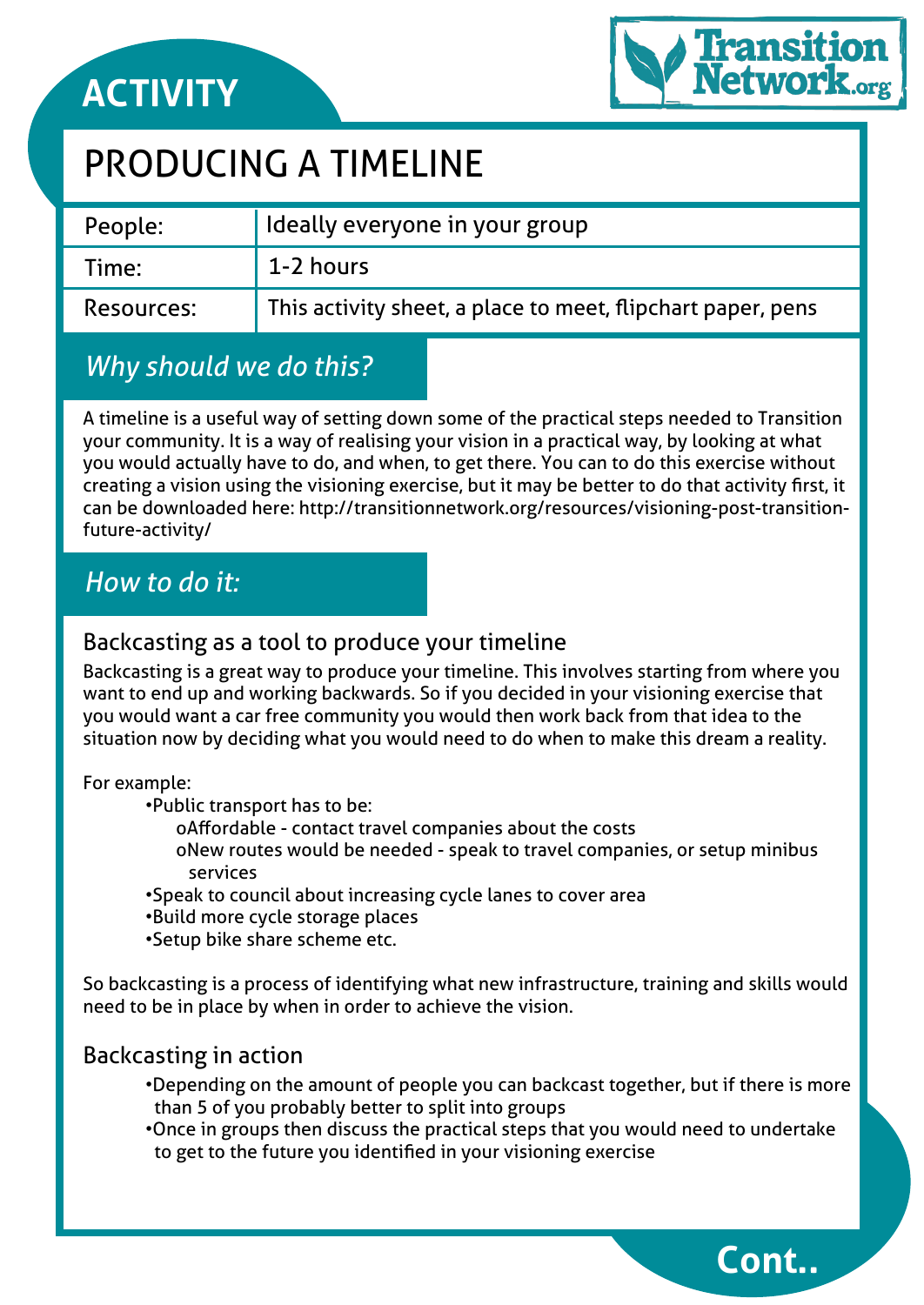# **ACTIVITY**



**Cont..**

## PRODUCING A TIMELINE

| People:    | I Ideally everyone in your group                            |
|------------|-------------------------------------------------------------|
| Time:      | 1-2 hours                                                   |
| Resources: | This activity sheet, a place to meet, flipchart paper, pens |

## *Why should we do this?*

A timeline is a useful way of setting down some of the practical steps needed to Transition your community. It is a way of realising your vision in a practical way, by looking at what you would actually have to do, and when, to get there. You can to do this exercise without creating a vision using the visioning exercise, but it may be better to do that activity first, it can be downloaded here: http://transitionnetwork.org/resources/visioning-post-transitionfuture-activity/

### *How to do it:*

#### Backcasting as a tool to produce your timeline

Backcasting is a great way to produce your timeline. This involves starting from where you want to end up and working backwards. So if you decided in your visioning exercise that you would want a car free community you would then work back from that idea to the situation now by deciding what you would need to do when to make this dream a reality.

#### For example:

•Public transport has to be:

- oAffordable contact travel companies about the costs
- oNew routes would be needed speak to travel companies, or setup minibus services
- •Speak to council about increasing cycle lanes to cover area
- •Build more cycle storage places
- •Setup bike share scheme etc.

So backcasting is a process of identifying what new infrastructure, training and skills would need to be in place by when in order to achieve the vision.

### Backcasting in action

- •Depending on the amount of people you can backcast together, but if there is more than 5 of you probably better to split into groups
- •Once in groups then discuss the practical steps that you would need to undertake to get to the future you identified in your visioning exercise